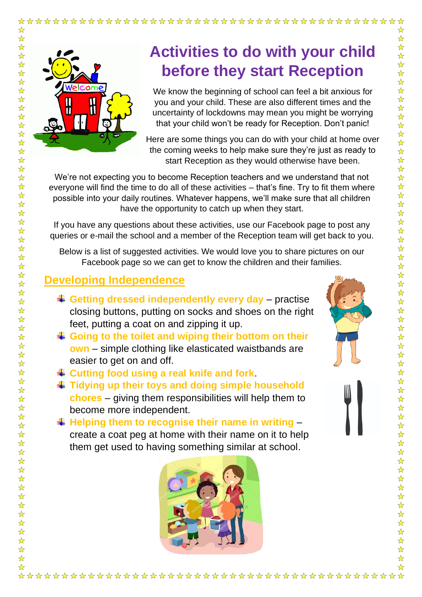

☆

 $\frac{1}{\mathbf{k}}$  $\frac{1}{\mathbf{k}}$ 

 $\frac{1}{\sqrt{2}}$ 

 $\frac{1}{\sqrt{2}}$ 

☆☆☆☆☆☆☆☆☆

 $\frac{1}{\mathcal{N}}$  $\frac{1}{\sqrt{2}}$  $\frac{1}{\mathbf{k}}$  $\frac{1}{\sqrt{2}}$  $\frac{1}{\sqrt{2}}$  $\frac{1}{\mathbf{k}}$  $\frac{1}{\sqrt{2}}$  $\frac{1}{\sqrt{2}}$  $\frac{1}{\sqrt{2}}$  $\frac{1}{\mathbf{k}}$  $\frac{1}{\sqrt{2}}$  $\frac{1}{\mathcal{N}}$  $\frac{1}{\sqrt{2}}$  $\frac{1}{\mathbf{2}}$  $\frac{\lambda}{\lambda}$ 

 $\frac{1}{\mathcal{N}}$ 

 $\frac{1}{\sqrt{2}}$  $\frac{1}{2}$  $\frac{1}{\sqrt{2}}$  $> 5$  $\frac{1}{\mathcal{N}}$  $\frac{1}{\sqrt{2}}$  $\frac{1}{\mathcal{N}}$  $\frac{1}{\sqrt{2}}$ 

 $\frac{1}{\mathcal{N}}$  $\frac{1}{\mathbf{k}}$  $\frac{1}{2}$  $\frac{1}{\mathcal{N}}$  $\frac{1}{\sqrt{2}}$  $\frac{1}{\mathcal{N}}$  $\frac{1}{\sqrt{2}}$  $\frac{1}{\sqrt{2}}$  $\frac{1}{\sqrt{2}}$  $\frac{1}{\sqrt{2}}$  $\frac{\lambda}{\lambda}$ 24 24 2  $\frac{1}{\sqrt{2}}$ 

计分析

 $\frac{1}{2}$  $\frac{1}{\sqrt{2}}$  $\frac{1}{\sqrt{2}}$  $\frac{1}{\sqrt{2}}$  $\frac{1}{\sqrt{2}}$ 

 $\frac{1}{\sqrt{2}}$  $\frac{\lambda}{\lambda}$ 

## **Activities to do with your child before they start Reception**

We know the beginning of school can feel a bit anxious for you and your child. These are also different times and the uncertainty of lockdowns may mean you might be worrying that your child won't be ready for Reception. Don't panic!

Here are some things you can do with your child at home over the coming weeks to help make sure they're just as ready to start Reception as they would otherwise have been.

We're not expecting you to become Reception teachers and we understand that not everyone will find the time to do all of these activities – that's fine. Try to fit them where possible into your daily routines. Whatever happens, we'll make sure that all children have the opportunity to catch up when they start.

If you have any questions about these activities, use our Facebook page to post any queries or e-mail the school and a member of the Reception team will get back to you.

Below is a list of suggested activities. We would love you to share pictures on our Facebook page so we can get to know the children and their families.

## **Developing Independence**

- **Getting dressed independently every day**  practise closing buttons, putting on socks and shoes on the right feet, putting a coat on and zipping it up.
- **Going to the toilet and wiping their bottom on their own** – simple clothing like elasticated waistbands are easier to get on and off.
- **Cutting food using a real knife and fork**.
- **Tidying up their toys and doing simple household chores** – giving them responsibilities will help them to become more independent.
- **Helping them to recognise their name in writing**  create a coat peg at home with their name on it to help them get used to having something similar at school.

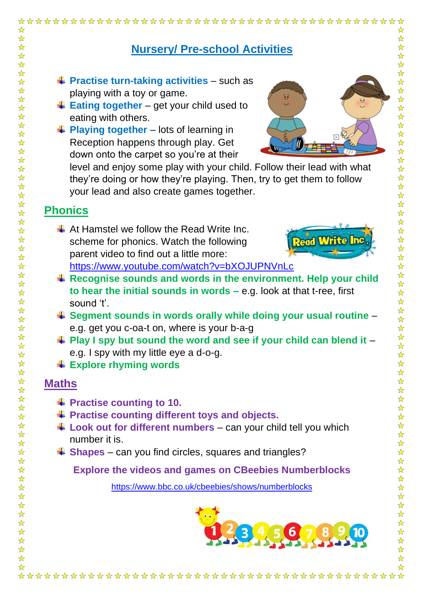| ☆                                                                                                                                                     | ☆                                                                                                                                                                                                                                                                                                                                                                                                                                                                                                                            |
|-------------------------------------------------------------------------------------------------------------------------------------------------------|------------------------------------------------------------------------------------------------------------------------------------------------------------------------------------------------------------------------------------------------------------------------------------------------------------------------------------------------------------------------------------------------------------------------------------------------------------------------------------------------------------------------------|
| ☆<br>☆<br>☆<br>☆                                                                                                                                      | ☆<br>☆<br><b>Nursery/ Pre-school Activities</b><br>☆<br>$\frac{\lambda}{\lambda}$                                                                                                                                                                                                                                                                                                                                                                                                                                            |
| ☆<br>☆<br>☆<br>$\frac{1}{\sqrt{2}}$<br>☆<br>☆                                                                                                         | $\frac{1}{\sqrt{2}}$<br>$\frac{\lambda}{\lambda}$<br>$\downarrow$ Practise turn-taking activities – such as<br>$\frac{1}{\mathbf{k}^{\prime}}$<br>playing with a toy or game.<br>듖<br>$\frac{1}{\sqrt{2}}$<br>$\frac{1}{2}$ Eating together – get your child used to<br>☆<br>☆<br>eating with others.                                                                                                                                                                                                                        |
| $\frac{1}{\sqrt{2}}$<br>$\frac{1}{\mathcal{N}}$<br>☆<br>☆<br>☆<br>☆<br>$\frac{\lambda}{\lambda}$<br>$\frac{1}{\mathcal{N}}$<br>$\frac{1}{\mathbf{k}}$ | ☆<br>$\downarrow$ Playing together – lots of learning in<br>☆<br>Reception happens through play. Get<br>$\frac{1}{\sqrt{2}}$<br>$\frac{1}{\sqrt{2}}$<br>down onto the carpet so you're at their<br>$\frac{1}{\sqrt{2}}$<br>level and enjoy some play with your child. Follow their lead with what<br>$\frac{1}{\sqrt{2}}$<br>$\frac{\lambda}{\lambda}$<br>they're doing or how they're playing. Then, try to get them to follow<br>$\frac{1}{\sqrt{2}}$<br>your lead and also create games together.<br>$\frac{1}{\sqrt{2}}$ |
| $\frac{1}{\mathcal{N}}$<br>$\frac{1}{\sqrt{2}}$                                                                                                       | ☆<br><b>Phonics</b><br>$\frac{1}{\sqrt{2}}$                                                                                                                                                                                                                                                                                                                                                                                                                                                                                  |
| ☆<br>☆<br>☆<br>☆<br>$\frac{1}{\mathcal{N}}$<br>☆                                                                                                      | ☆<br>$\downarrow$ At Hamstel we follow the Read Write Inc.<br>$\frac{\lambda}{\lambda}$<br><b>Read Write Inc</b><br>$\frac{1}{\sqrt{2}}$<br>scheme for phonics. Watch the following<br>☆<br>parent video to find out a little more:<br>☆<br>$\frac{1}{\sqrt{2}}$<br>https://www.youtube.com/watch?v=bXOJUPNVnLc                                                                                                                                                                                                              |
| ☆<br>☆<br>☆<br>☆                                                                                                                                      | $\frac{\lambda}{\lambda}$<br>$\ddot{*}$ Recognise sounds and words in the environment. Help your child<br>$\frac{1}{\sqrt{2}}$<br>to hear the initial sounds in words $-$ e.g. look at that t-ree, first<br>$\frac{1}{\sqrt{2}}$<br>$\frac{1}{\sqrt{2}}$<br>sound 't'.                                                                                                                                                                                                                                                       |
| ☆<br>☆<br>☆                                                                                                                                           | $\frac{1}{\sqrt{2}}$<br>Segment sounds in words orally while doing your usual routine -<br>$\frac{1}{\sqrt{2}}$<br>e.g. get you c-oa-t on, where is your b-a-g<br>☆                                                                                                                                                                                                                                                                                                                                                          |
| ☆<br>$\frac{1}{\mathcal{N}}$<br>☆<br>☆                                                                                                                | ☆<br>$\ddagger$ Play I spy but sound the word and see if your child can blend it $-$<br>☆<br>e.g. I spy with my little eye a d-o-g.<br>$\frac{1}{\sqrt{2}}$<br>$\frac{1}{\sqrt{2}}$<br>$\textcolor{red}{\textbf{I}}$ Explore rhyming words                                                                                                                                                                                                                                                                                   |
| $\frac{1}{2}$<br>☆                                                                                                                                    | $\frac{1}{\sqrt{2}}$<br>$\frac{\lambda}{\lambda}$<br><b>Maths</b>                                                                                                                                                                                                                                                                                                                                                                                                                                                            |
| $\frac{1}{\sqrt{2}}$<br>$\frac{1}{\mathcal{N}}$<br>☆<br>☆<br>☆                                                                                        | $\frac{\lambda}{\lambda}$<br>$\frac{\lambda}{\lambda}$<br>$\ddag$ Practise counting to 10.<br>$\frac{\lambda}{\lambda}$<br>$\ddag$ Practise counting different toys and objects.<br>$\frac{1}{\sqrt{2}}$<br>☆<br>$\ddagger$ Look out for different numbers – can your child tell you which                                                                                                                                                                                                                                   |
| ☆<br>☆<br>☆                                                                                                                                           | $\frac{1}{\mathbf{k}}$<br>number it is.<br>$\frac{1}{\sqrt{2}}$<br>$\ddot{*}$ Shapes – can you find circles, squares and triangles?<br>$\frac{1}{\mathbf{k}^{\prime}}$                                                                                                                                                                                                                                                                                                                                                       |
| ☆<br>☆                                                                                                                                                | $\frac{1}{\sqrt{2}}$<br><b>Explore the videos and games on CBeebies Numberblocks</b><br>$\frac{1}{\mathbf{k}}$                                                                                                                                                                                                                                                                                                                                                                                                               |
| ☆<br>$\frac{1}{2}$<br>$\frac{\lambda}{\lambda}$                                                                                                       | ☆<br>$\frac{1}{\sqrt{2}}$<br>https://www.bbc.co.uk/cbeebies/shows/numberblocks<br>$\frac{1}{\sqrt{2}}$<br>$\frac{1}{\sqrt{2}}$                                                                                                                                                                                                                                                                                                                                                                                               |
| $\frac{1}{\mathcal{N}}$<br>☆<br>☆<br>☆<br>☆<br>☆<br>☆<br>☆                                                                                            | $\frac{1}{\sqrt{2}}$<br>$\frac{1}{\lambda}$<br>$\frac{1}{\mathbf{k}^{\prime}}$<br>6<br>$\frac{1}{\mathbf{k}}$<br>$\frac{1}{\mathcal{N}}$<br>$\frac{1}{\mathbf{k}^{\prime}}$<br>☆                                                                                                                                                                                                                                                                                                                                             |
|                                                                                                                                                       |                                                                                                                                                                                                                                                                                                                                                                                                                                                                                                                              |